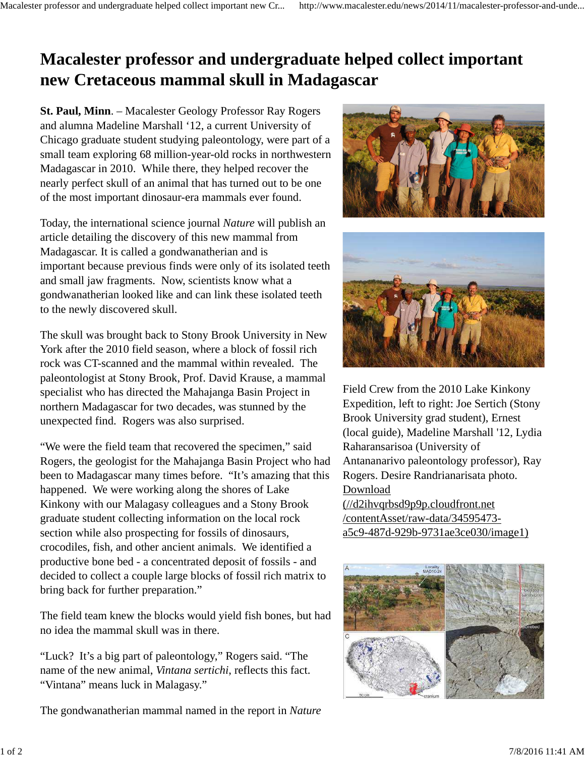## **Macalester professor and undergraduate helped collect important new Cretaceous mammal skull in Madagascar**

**St. Paul, Minn**. – Macalester Geology Professor Ray Rogers and alumna Madeline Marshall '12, a current University of Chicago graduate student studying paleontology, were part of a small team exploring 68 million-year-old rocks in northwestern Madagascar in 2010. While there, they helped recover the nearly perfect skull of an animal that has turned out to be one of the most important dinosaur-era mammals ever found.

Today, the international science journal *Nature* will publish an article detailing the discovery of this new mammal from Madagascar. It is called a gondwanatherian and is important because previous finds were only of its isolated teeth and small jaw fragments. Now, scientists know what a gondwanatherian looked like and can link these isolated teeth to the newly discovered skull.

The skull was brought back to Stony Brook University in New York after the 2010 field season, where a block of fossil rich rock was CT-scanned and the mammal within revealed. The paleontologist at Stony Brook, Prof. David Krause, a mammal specialist who has directed the Mahajanga Basin Project in northern Madagascar for two decades, was stunned by the unexpected find. Rogers was also surprised.

"We were the field team that recovered the specimen," said Rogers, the geologist for the Mahajanga Basin Project who had been to Madagascar many times before. "It's amazing that this happened. We were working along the shores of Lake Kinkony with our Malagasy colleagues and a Stony Brook graduate student collecting information on the local rock section while also prospecting for fossils of dinosaurs, crocodiles, fish, and other ancient animals. We identified a productive bone bed - a concentrated deposit of fossils - and decided to collect a couple large blocks of fossil rich matrix to bring back for further preparation."

The field team knew the blocks would yield fish bones, but had no idea the mammal skull was in there.

"Luck? It's a big part of paleontology," Rogers said. "The name of the new animal, *Vintana sertichi*, reflects this fact. "Vintana" means luck in Malagasy."

The gondwanatherian mammal named in the report in *Nature*





Field Crew from the 2010 Lake Kinkony Expedition, left to right: Joe Sertich (Stony Brook University grad student), Ernest (local guide), Madeline Marshall '12, Lydia Raharansarisoa (University of Antananarivo paleontology professor), Ray Rogers. Desire Randrianarisata photo. Download

(//d2ihvqrbsd9p9p.cloudfront.net /contentAsset/raw-data/34595473 a5c9-487d-929b-9731ae3ce030/image1)